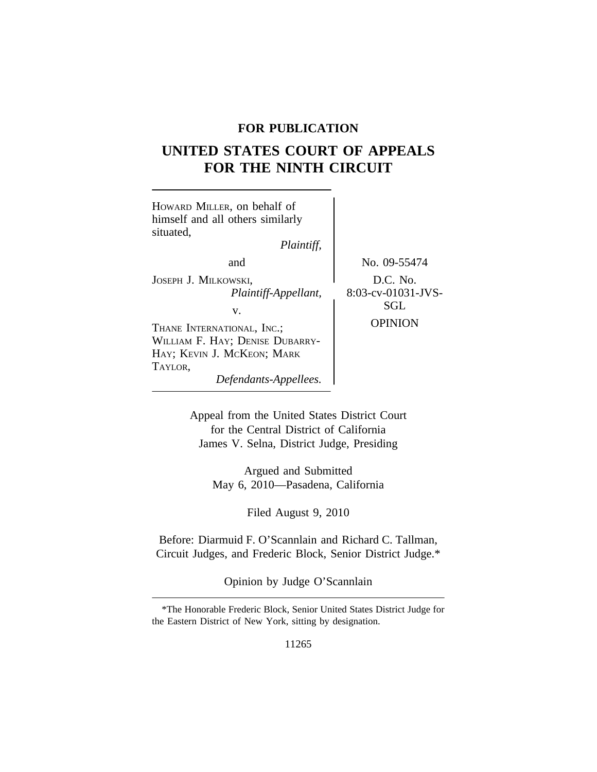# **FOR PUBLICATION**

# **UNITED STATES COURT OF APPEALS FOR THE NINTH CIRCUIT**

| HOWARD MILLER, on behalf of<br>himself and all others similarly<br>situated,<br>Plaintiff,             |                                       |
|--------------------------------------------------------------------------------------------------------|---------------------------------------|
| and                                                                                                    | No. 09-55474                          |
| JOSEPH J. MILKOWSKI,<br>Plaintiff-Appellant,<br>v.                                                     | D.C. No.<br>8:03-cv-01031-JVS-<br>SGL |
| THANE INTERNATIONAL, INC.;<br>WILLIAM F. HAY; DENISE DUBARRY-<br>HAY; KEVIN J. MCKEON; MARK<br>TAYLOR, | <b>OPINION</b>                        |
| Defendants-Appellees.                                                                                  |                                       |

Appeal from the United States District Court for the Central District of California James V. Selna, District Judge, Presiding

> Argued and Submitted May 6, 2010—Pasadena, California

> > Filed August 9, 2010

Before: Diarmuid F. O'Scannlain and Richard C. Tallman, Circuit Judges, and Frederic Block, Senior District Judge.\*

Opinion by Judge O'Scannlain

11265

<sup>\*</sup>The Honorable Frederic Block, Senior United States District Judge for the Eastern District of New York, sitting by designation.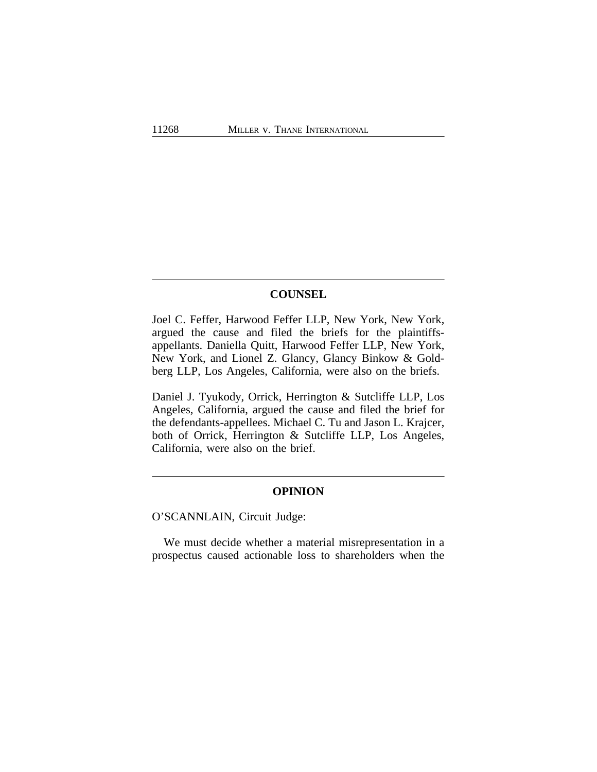## **COUNSEL**

Joel C. Feffer, Harwood Feffer LLP, New York, New York, argued the cause and filed the briefs for the plaintiffsappellants. Daniella Quitt, Harwood Feffer LLP, New York, New York, and Lionel Z. Glancy, Glancy Binkow & Goldberg LLP, Los Angeles, California, were also on the briefs.

Daniel J. Tyukody, Orrick, Herrington & Sutcliffe LLP, Los Angeles, California, argued the cause and filed the brief for the defendants-appellees. Michael C. Tu and Jason L. Krajcer, both of Orrick, Herrington & Sutcliffe LLP, Los Angeles, California, were also on the brief.

#### **OPINION**

O'SCANNLAIN, Circuit Judge:

We must decide whether a material misrepresentation in a prospectus caused actionable loss to shareholders when the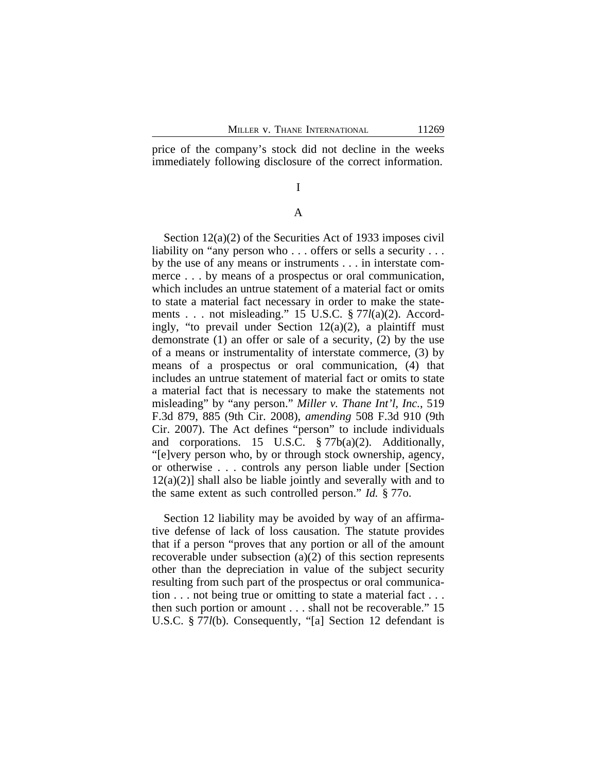price of the company's stock did not decline in the weeks immediately following disclosure of the correct information.

# I

#### A

Section 12(a)(2) of the Securities Act of 1933 imposes civil liability on "any person who . . . offers or sells a security . . . by the use of any means or instruments . . . in interstate commerce . . . by means of a prospectus or oral communication, which includes an untrue statement of a material fact or omits to state a material fact necessary in order to make the statements . . . not misleading." 15 U.S.C. § 77*l*(a)(2). Accordingly, "to prevail under Section  $12(a)(2)$ , a plaintiff must demonstrate (1) an offer or sale of a security, (2) by the use of a means or instrumentality of interstate commerce, (3) by means of a prospectus or oral communication, (4) that includes an untrue statement of material fact or omits to state a material fact that is necessary to make the statements not misleading" by "any person." *Miller v. Thane Int'l, Inc.*, 519 F.3d 879, 885 (9th Cir. 2008), *amending* 508 F.3d 910 (9th Cir. 2007). The Act defines "person" to include individuals and corporations. 15 U.S.C. § 77b(a)(2). Additionally, "[e]very person who, by or through stock ownership, agency, or otherwise . . . controls any person liable under [Section  $12(a)(2)$ ] shall also be liable jointly and severally with and to the same extent as such controlled person." *Id.* § 77o.

Section 12 liability may be avoided by way of an affirmative defense of lack of loss causation. The statute provides that if a person "proves that any portion or all of the amount recoverable under subsection (a)(2) of this section represents other than the depreciation in value of the subject security resulting from such part of the prospectus or oral communication . . . not being true or omitting to state a material fact . . . then such portion or amount . . . shall not be recoverable." 15 U.S.C. § 77*l*(b). Consequently, "[a] Section 12 defendant is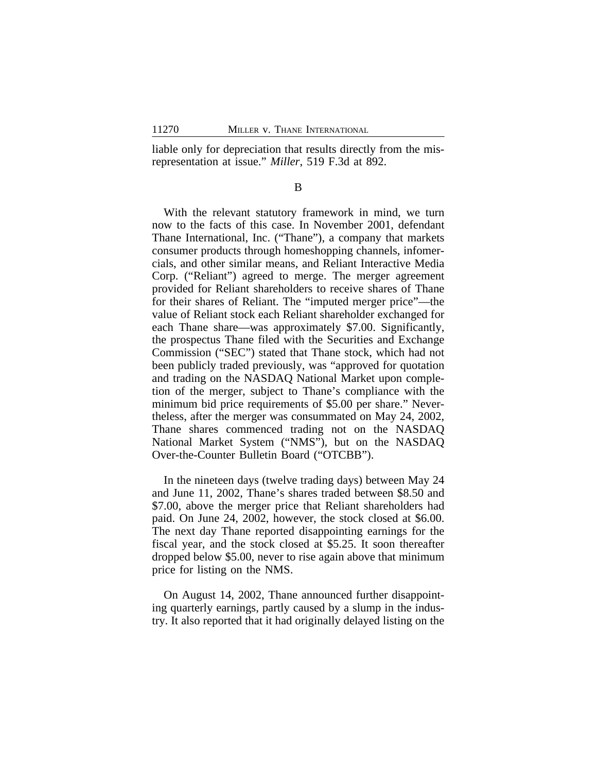liable only for depreciation that results directly from the misrepresentation at issue." *Miller*, 519 F.3d at 892.

B

With the relevant statutory framework in mind, we turn now to the facts of this case. In November 2001, defendant Thane International, Inc. ("Thane"), a company that markets consumer products through homeshopping channels, infomercials, and other similar means, and Reliant Interactive Media Corp. ("Reliant") agreed to merge. The merger agreement provided for Reliant shareholders to receive shares of Thane for their shares of Reliant. The "imputed merger price"—the value of Reliant stock each Reliant shareholder exchanged for each Thane share—was approximately \$7.00. Significantly, the prospectus Thane filed with the Securities and Exchange Commission ("SEC") stated that Thane stock, which had not been publicly traded previously, was "approved for quotation and trading on the NASDAQ National Market upon completion of the merger, subject to Thane's compliance with the minimum bid price requirements of \$5.00 per share." Nevertheless, after the merger was consummated on May 24, 2002, Thane shares commenced trading not on the NASDAQ National Market System ("NMS"), but on the NASDAQ Over-the-Counter Bulletin Board ("OTCBB").

In the nineteen days (twelve trading days) between May 24 and June 11, 2002, Thane's shares traded between \$8.50 and \$7.00, above the merger price that Reliant shareholders had paid. On June 24, 2002, however, the stock closed at \$6.00. The next day Thane reported disappointing earnings for the fiscal year, and the stock closed at \$5.25. It soon thereafter dropped below \$5.00, never to rise again above that minimum price for listing on the NMS.

On August 14, 2002, Thane announced further disappointing quarterly earnings, partly caused by a slump in the industry. It also reported that it had originally delayed listing on the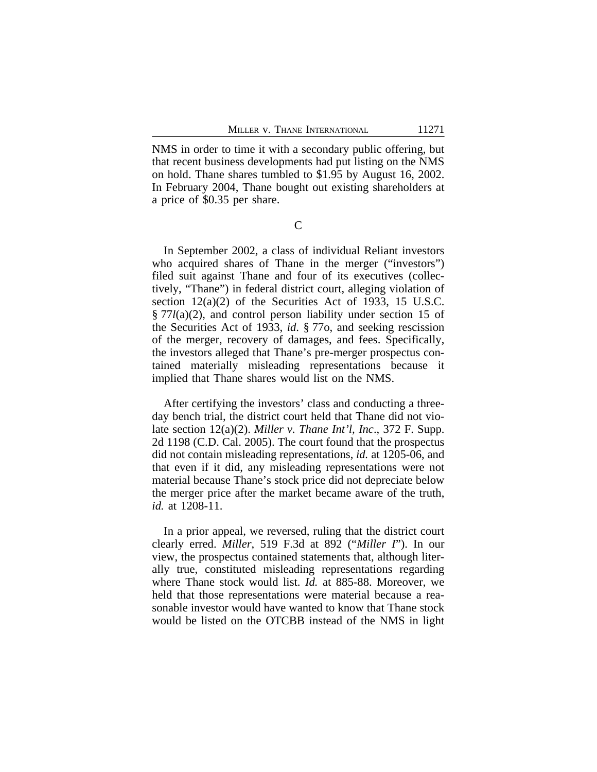NMS in order to time it with a secondary public offering, but that recent business developments had put listing on the NMS on hold. Thane shares tumbled to \$1.95 by August 16, 2002. In February 2004, Thane bought out existing shareholders at a price of \$0.35 per share.

 $\overline{C}$ 

In September 2002, a class of individual Reliant investors who acquired shares of Thane in the merger ("investors") filed suit against Thane and four of its executives (collectively, "Thane") in federal district court, alleging violation of section 12(a)(2) of the Securities Act of 1933, 15 U.S.C. § 77*l*(a)(2), and control person liability under section 15 of the Securities Act of 1933, *id*. § 77o, and seeking rescission of the merger, recovery of damages, and fees. Specifically, the investors alleged that Thane's pre-merger prospectus contained materially misleading representations because it implied that Thane shares would list on the NMS.

After certifying the investors' class and conducting a threeday bench trial, the district court held that Thane did not violate section 12(a)(2). *Miller v. Thane Int'l, Inc*., 372 F. Supp. 2d 1198 (C.D. Cal. 2005). The court found that the prospectus did not contain misleading representations, *id.* at 1205-06, and that even if it did, any misleading representations were not material because Thane's stock price did not depreciate below the merger price after the market became aware of the truth, *id.* at 1208-11.

In a prior appeal, we reversed, ruling that the district court clearly erred. *Miller*, 519 F.3d at 892 ("*Miller I*"). In our view, the prospectus contained statements that, although literally true, constituted misleading representations regarding where Thane stock would list. *Id.* at 885-88. Moreover, we held that those representations were material because a reasonable investor would have wanted to know that Thane stock would be listed on the OTCBB instead of the NMS in light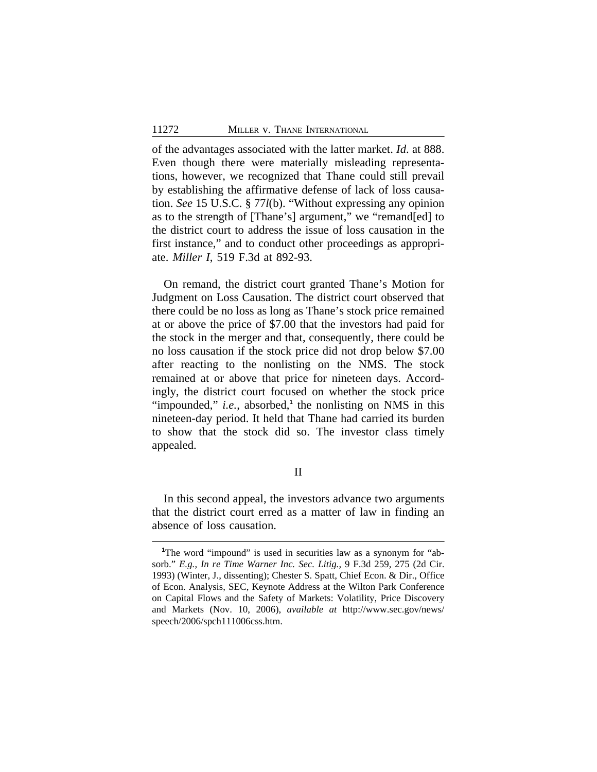of the advantages associated with the latter market. *Id*. at 888. Even though there were materially misleading representations, however, we recognized that Thane could still prevail by establishing the affirmative defense of lack of loss causation. *See* 15 U.S.C. § 77*l*(b). "Without expressing any opinion as to the strength of [Thane's] argument," we "remand[ed] to the district court to address the issue of loss causation in the first instance," and to conduct other proceedings as appropriate. *Miller I*, 519 F.3d at 892-93.

On remand, the district court granted Thane's Motion for Judgment on Loss Causation. The district court observed that there could be no loss as long as Thane's stock price remained at or above the price of \$7.00 that the investors had paid for the stock in the merger and that, consequently, there could be no loss causation if the stock price did not drop below \$7.00 after reacting to the nonlisting on the NMS. The stock remained at or above that price for nineteen days. Accordingly, the district court focused on whether the stock price "impounded," *i.e.*, absorbed,<sup>1</sup> the nonlisting on NMS in this nineteen-day period. It held that Thane had carried its burden to show that the stock did so. The investor class timely appealed.

## II

In this second appeal, the investors advance two arguments that the district court erred as a matter of law in finding an absence of loss causation.

<sup>&</sup>lt;sup>1</sup>The word "impound" is used in securities law as a synonym for "absorb." *E.g.*, *In re Time Warner Inc. Sec. Litig.*, 9 F.3d 259, 275 (2d Cir. 1993) (Winter, J., dissenting); Chester S. Spatt, Chief Econ. & Dir., Office of Econ. Analysis, SEC, Keynote Address at the Wilton Park Conference on Capital Flows and the Safety of Markets: Volatility, Price Discovery and Markets (Nov. 10, 2006), *available at* http://www.sec.gov/news/ speech/2006/spch111006css.htm.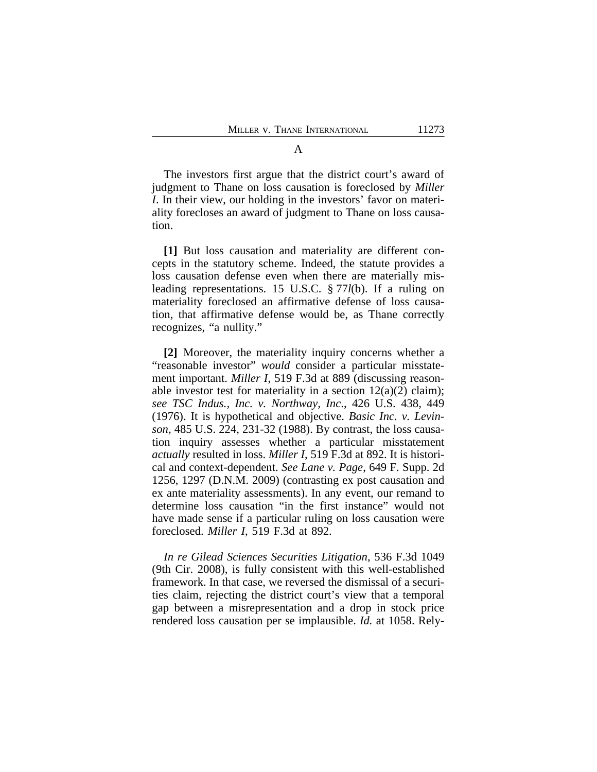The investors first argue that the district court's award of judgment to Thane on loss causation is foreclosed by *Miller I*. In their view, our holding in the investors' favor on materiality forecloses an award of judgment to Thane on loss causation.

**[1]** But loss causation and materiality are different concepts in the statutory scheme. Indeed, the statute provides a loss causation defense even when there are materially misleading representations. 15 U.S.C. § 77*l*(b). If a ruling on materiality foreclosed an affirmative defense of loss causation, that affirmative defense would be, as Thane correctly recognizes, "a nullity."

**[2]** Moreover, the materiality inquiry concerns whether a "reasonable investor" *would* consider a particular misstatement important. *Miller I*, 519 F.3d at 889 (discussing reasonable investor test for materiality in a section  $12(a)(2)$  claim); *see TSC Indus., Inc. v. Northway, Inc*., 426 U.S. 438, 449 (1976). It is hypothetical and objective. *Basic Inc. v. Levinson*, 485 U.S. 224, 231-32 (1988). By contrast, the loss causation inquiry assesses whether a particular misstatement *actually* resulted in loss. *Miller I*, 519 F.3d at 892. It is historical and context-dependent. *See Lane v. Page*, 649 F. Supp. 2d 1256, 1297 (D.N.M. 2009) (contrasting ex post causation and ex ante materiality assessments). In any event, our remand to determine loss causation "in the first instance" would not have made sense if a particular ruling on loss causation were foreclosed. *Miller I*, 519 F.3d at 892.

*In re Gilead Sciences Securities Litigation*, 536 F.3d 1049 (9th Cir. 2008), is fully consistent with this well-established framework. In that case, we reversed the dismissal of a securities claim, rejecting the district court's view that a temporal gap between a misrepresentation and a drop in stock price rendered loss causation per se implausible. *Id.* at 1058. Rely-

A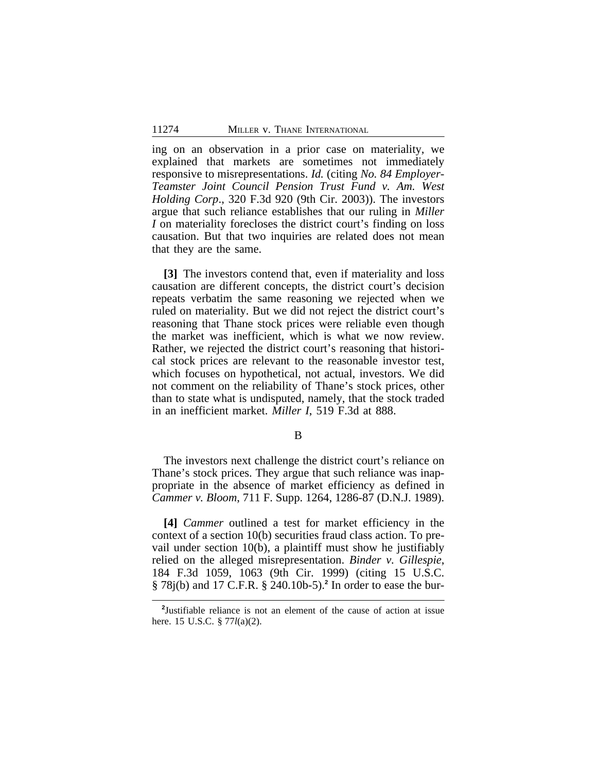ing on an observation in a prior case on materiality, we explained that markets are sometimes not immediately responsive to misrepresentations. *Id.* (citing *No. 84 Employer-Teamster Joint Council Pension Trust Fund v. Am. West Holding Corp*., 320 F.3d 920 (9th Cir. 2003)). The investors argue that such reliance establishes that our ruling in *Miller I* on materiality forecloses the district court's finding on loss causation. But that two inquiries are related does not mean that they are the same.

**[3]** The investors contend that, even if materiality and loss causation are different concepts, the district court's decision repeats verbatim the same reasoning we rejected when we ruled on materiality. But we did not reject the district court's reasoning that Thane stock prices were reliable even though the market was inefficient, which is what we now review. Rather, we rejected the district court's reasoning that historical stock prices are relevant to the reasonable investor test, which focuses on hypothetical, not actual, investors. We did not comment on the reliability of Thane's stock prices, other than to state what is undisputed, namely, that the stock traded in an inefficient market. *Miller I*, 519 F.3d at 888.

B

The investors next challenge the district court's reliance on Thane's stock prices. They argue that such reliance was inappropriate in the absence of market efficiency as defined in *Cammer v. Bloom*, 711 F. Supp. 1264, 1286-87 (D.N.J. 1989).

**[4]** *Cammer* outlined a test for market efficiency in the context of a section 10(b) securities fraud class action. To prevail under section 10(b), a plaintiff must show he justifiably relied on the alleged misrepresentation. *Binder v. Gillespie*, 184 F.3d 1059, 1063 (9th Cir. 1999) (citing 15 U.S.C. § 78j(b) and 17 C.F.R. § 240.10b-5).**<sup>2</sup>** In order to ease the bur-

**<sup>2</sup>** Justifiable reliance is not an element of the cause of action at issue here. 15 U.S.C. § 77*l*(a)(2).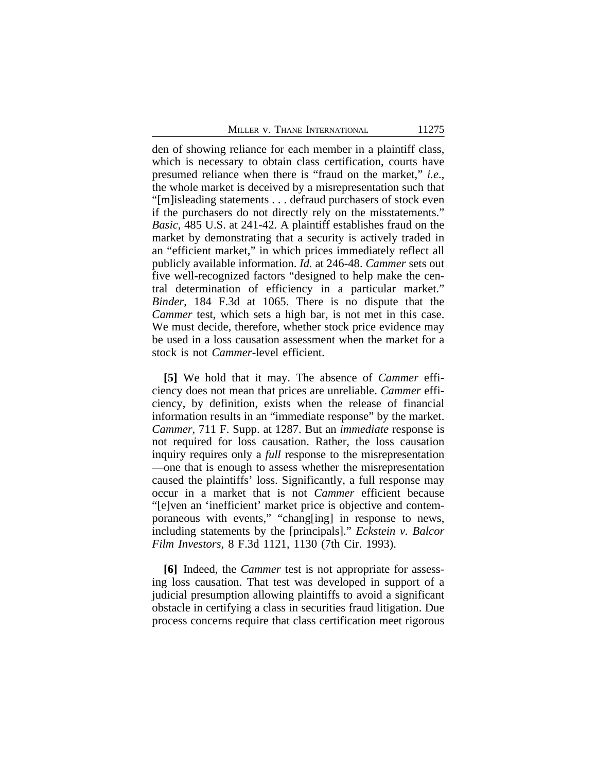den of showing reliance for each member in a plaintiff class, which is necessary to obtain class certification, courts have presumed reliance when there is "fraud on the market," *i.e*., the whole market is deceived by a misrepresentation such that "[m]isleading statements . . . defraud purchasers of stock even if the purchasers do not directly rely on the misstatements." *Basic*, 485 U.S. at 241-42. A plaintiff establishes fraud on the market by demonstrating that a security is actively traded in an "efficient market," in which prices immediately reflect all publicly available information. *Id.* at 246-48. *Cammer* sets out five well-recognized factors "designed to help make the central determination of efficiency in a particular market." *Binder*, 184 F.3d at 1065. There is no dispute that the *Cammer* test, which sets a high bar, is not met in this case. We must decide, therefore, whether stock price evidence may be used in a loss causation assessment when the market for a stock is not *Cammer*-level efficient.

**[5]** We hold that it may. The absence of *Cammer* efficiency does not mean that prices are unreliable. *Cammer* efficiency, by definition, exists when the release of financial information results in an "immediate response" by the market. *Cammer*, 711 F. Supp. at 1287. But an *immediate* response is not required for loss causation. Rather, the loss causation inquiry requires only a *full* response to the misrepresentation —one that is enough to assess whether the misrepresentation caused the plaintiffs' loss. Significantly, a full response may occur in a market that is not *Cammer* efficient because "[e]ven an 'inefficient' market price is objective and contemporaneous with events," "chang[ing] in response to news, including statements by the [principals]." *Eckstein v. Balcor Film Investors*, 8 F.3d 1121, 1130 (7th Cir. 1993).

**[6]** Indeed, the *Cammer* test is not appropriate for assessing loss causation. That test was developed in support of a judicial presumption allowing plaintiffs to avoid a significant obstacle in certifying a class in securities fraud litigation. Due process concerns require that class certification meet rigorous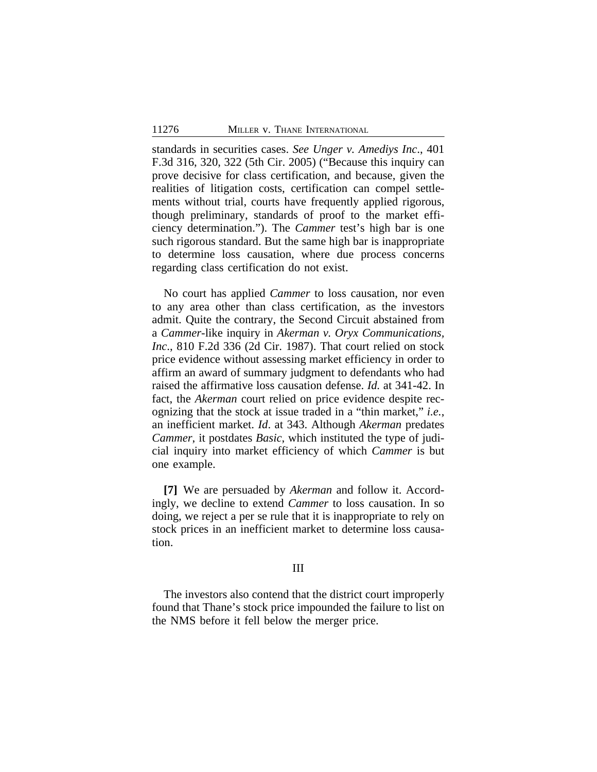standards in securities cases. *See Unger v. Amediys Inc*., 401 F.3d 316, 320, 322 (5th Cir. 2005) ("Because this inquiry can prove decisive for class certification, and because, given the realities of litigation costs, certification can compel settlements without trial, courts have frequently applied rigorous, though preliminary, standards of proof to the market efficiency determination."). The *Cammer* test's high bar is one such rigorous standard. But the same high bar is inappropriate to determine loss causation, where due process concerns regarding class certification do not exist.

No court has applied *Cammer* to loss causation, nor even to any area other than class certification, as the investors admit. Quite the contrary, the Second Circuit abstained from a *Cammer*-like inquiry in *Akerman v. Oryx Communications, Inc*., 810 F.2d 336 (2d Cir. 1987). That court relied on stock price evidence without assessing market efficiency in order to affirm an award of summary judgment to defendants who had raised the affirmative loss causation defense. *Id.* at 341-42. In fact, the *Akerman* court relied on price evidence despite recognizing that the stock at issue traded in a "thin market," *i.e.*, an inefficient market. *Id*. at 343. Although *Akerman* predates *Cammer*, it postdates *Basic*, which instituted the type of judicial inquiry into market efficiency of which *Cammer* is but one example.

**[7]** We are persuaded by *Akerman* and follow it. Accordingly, we decline to extend *Cammer* to loss causation. In so doing, we reject a per se rule that it is inappropriate to rely on stock prices in an inefficient market to determine loss causation.

#### III

The investors also contend that the district court improperly found that Thane's stock price impounded the failure to list on the NMS before it fell below the merger price.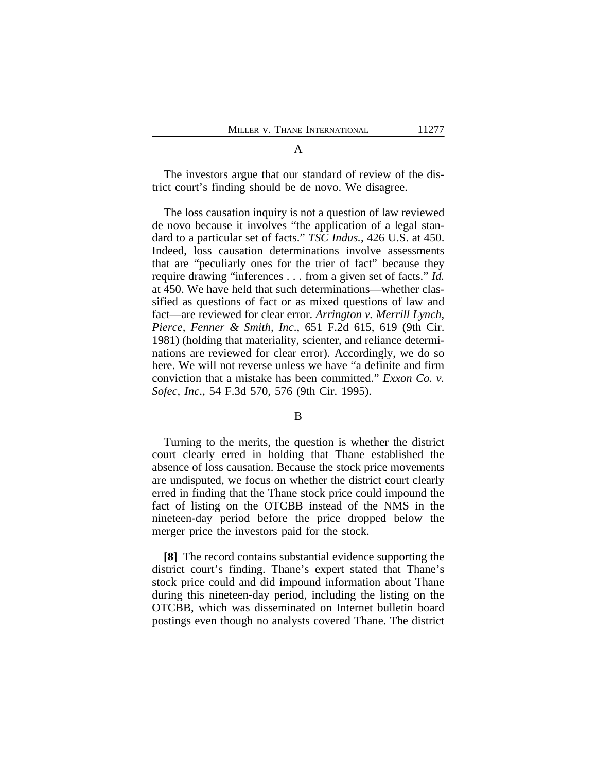The investors argue that our standard of review of the district court's finding should be de novo. We disagree.

The loss causation inquiry is not a question of law reviewed de novo because it involves "the application of a legal standard to a particular set of facts." *TSC Indus.*, 426 U.S. at 450. Indeed, loss causation determinations involve assessments that are "peculiarly ones for the trier of fact" because they require drawing "inferences . . . from a given set of facts." *Id.* at 450. We have held that such determinations—whether classified as questions of fact or as mixed questions of law and fact—are reviewed for clear error. *Arrington v. Merrill Lynch, Pierce, Fenner & Smith, Inc*., 651 F.2d 615, 619 (9th Cir. 1981) (holding that materiality, scienter, and reliance determinations are reviewed for clear error). Accordingly, we do so here. We will not reverse unless we have "a definite and firm conviction that a mistake has been committed." *Exxon Co. v. Sofec, Inc*., 54 F.3d 570, 576 (9th Cir. 1995).

B

Turning to the merits, the question is whether the district court clearly erred in holding that Thane established the absence of loss causation. Because the stock price movements are undisputed, we focus on whether the district court clearly erred in finding that the Thane stock price could impound the fact of listing on the OTCBB instead of the NMS in the nineteen-day period before the price dropped below the merger price the investors paid for the stock.

**[8]** The record contains substantial evidence supporting the district court's finding. Thane's expert stated that Thane's stock price could and did impound information about Thane during this nineteen-day period, including the listing on the OTCBB, which was disseminated on Internet bulletin board postings even though no analysts covered Thane. The district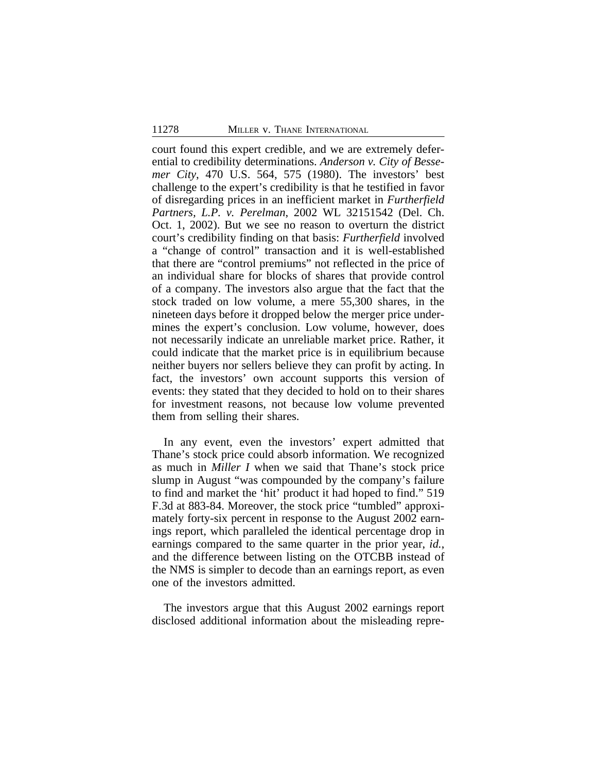court found this expert credible, and we are extremely deferential to credibility determinations. *Anderson v. City of Bessemer City*, 470 U.S. 564, 575 (1980). The investors' best challenge to the expert's credibility is that he testified in favor of disregarding prices in an inefficient market in *Furtherfield Partners, L.P. v. Perelman*, 2002 WL 32151542 (Del. Ch. Oct. 1, 2002). But we see no reason to overturn the district court's credibility finding on that basis: *Furtherfield* involved a "change of control" transaction and it is well-established that there are "control premiums" not reflected in the price of an individual share for blocks of shares that provide control of a company. The investors also argue that the fact that the stock traded on low volume, a mere 55,300 shares, in the nineteen days before it dropped below the merger price undermines the expert's conclusion. Low volume, however, does not necessarily indicate an unreliable market price. Rather, it could indicate that the market price is in equilibrium because neither buyers nor sellers believe they can profit by acting. In fact, the investors' own account supports this version of events: they stated that they decided to hold on to their shares for investment reasons, not because low volume prevented them from selling their shares.

In any event, even the investors' expert admitted that Thane's stock price could absorb information. We recognized as much in *Miller I* when we said that Thane's stock price slump in August "was compounded by the company's failure to find and market the 'hit' product it had hoped to find." 519 F.3d at 883-84. Moreover, the stock price "tumbled" approximately forty-six percent in response to the August 2002 earnings report, which paralleled the identical percentage drop in earnings compared to the same quarter in the prior year, *id.*, and the difference between listing on the OTCBB instead of the NMS is simpler to decode than an earnings report, as even one of the investors admitted.

The investors argue that this August 2002 earnings report disclosed additional information about the misleading repre-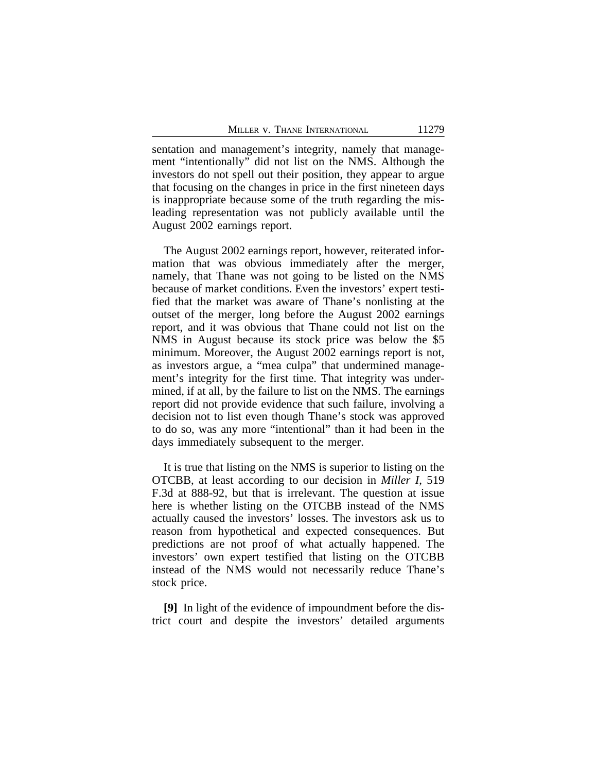sentation and management's integrity, namely that management "intentionally" did not list on the NMS. Although the investors do not spell out their position, they appear to argue that focusing on the changes in price in the first nineteen days is inappropriate because some of the truth regarding the misleading representation was not publicly available until the August 2002 earnings report.

The August 2002 earnings report, however, reiterated information that was obvious immediately after the merger, namely, that Thane was not going to be listed on the NMS because of market conditions. Even the investors' expert testified that the market was aware of Thane's nonlisting at the outset of the merger, long before the August 2002 earnings report, and it was obvious that Thane could not list on the NMS in August because its stock price was below the \$5 minimum. Moreover, the August 2002 earnings report is not, as investors argue, a "mea culpa" that undermined management's integrity for the first time. That integrity was undermined, if at all, by the failure to list on the NMS. The earnings report did not provide evidence that such failure, involving a decision not to list even though Thane's stock was approved to do so, was any more "intentional" than it had been in the days immediately subsequent to the merger.

It is true that listing on the NMS is superior to listing on the OTCBB, at least according to our decision in *Miller I*, 519 F.3d at 888-92, but that is irrelevant. The question at issue here is whether listing on the OTCBB instead of the NMS actually caused the investors' losses. The investors ask us to reason from hypothetical and expected consequences. But predictions are not proof of what actually happened. The investors' own expert testified that listing on the OTCBB instead of the NMS would not necessarily reduce Thane's stock price.

**[9]** In light of the evidence of impoundment before the district court and despite the investors' detailed arguments